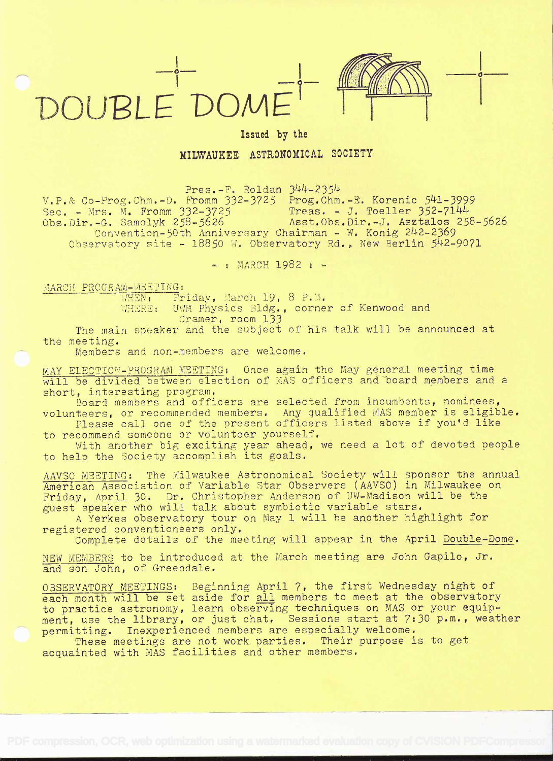



o

## Issued by the

MILWAUKEE ASTRONOMICAL SOCIETY

 $Pres.-F.$  Roldan  $344-2354$ 

 $V.P.$  Co-Prog.Chm.-D. Fromm  $332-3725$  Prog.Chm.-E. Korenic  $541-3999$ Sec. - Mrs. M. Fromm  $332-3725$  Treas. - J. Toeller  $352-7144$ Obs.Dir.-G. Samolyk 258-5626 Asst.Obs.Dir.-J. Asztalos 258-5626 Convention-50th Anniversary Chairman - W. Konig 242-2369 Observatory site - 18850 W. Observatory Rd., New Berlin 542-9071

 $-$ : MARCH 1982 :  $-$ 

MARCH PROGRAM-WEETING:

 $F \to \mathbb{R}$  $Finday$ , March 19, 8 P.M.

 $\mathcal{P} \text{HERE}$ : UWM Physics Bldg., corner of Kenwood and Cramer, room 133

The main speaker and the subject of his talk will be announced at the meeting.

Members and non-members are welcome.

MAY ELECTION-PROGRAM MEETING: Once again the May general meeting time will be divided between election of MAS officers and board members and a short, interesting program.

Board members and officers are selected from incumbents, nominees, volunteers, or recommended members. Any qualified MAS member is eligible.

Please cali one of the present officers listed above if you'd like to recommend someone or volunteer yourself.

With another big exciting year ahead, we need a lot of devoted people to help the Society accomplish its goals.

AAVSO MEETING: The Milwaukee Astronomical Society will sponsor the annual American Association of Variable Star Observers (AAVSO) in Milwaukee on Friday, April 30. Dr. Christopher Anderson of UW-Madison will be the guest speaker who will talk about symbiotic variable stars.

A Yerkes observatory tour on May 1 will he another highlight for registered conventioneers only.

Complete details of the meeting will appear in the April Double-Dome.

NEW MEMBERS to be introduced at the March meeting are John Gapilo, Jr. and son John, of Greendale.

OBSERVATORY MEETINGS: Beginning April 7, the first Wednesday night of each month will be set aside for all members to meet at the observatory to practice astronomy, learn observing techniques on MAS or your equipment, use the library, or just chat, Sessions start at 7:30 p.m., weather permitting. Inexperienced members are especially welcome.

permitting. Inexperienced members are especially welcome.<br>These meetings are not work parties. Their purpose is to get acquainted with MAS facilities and other members.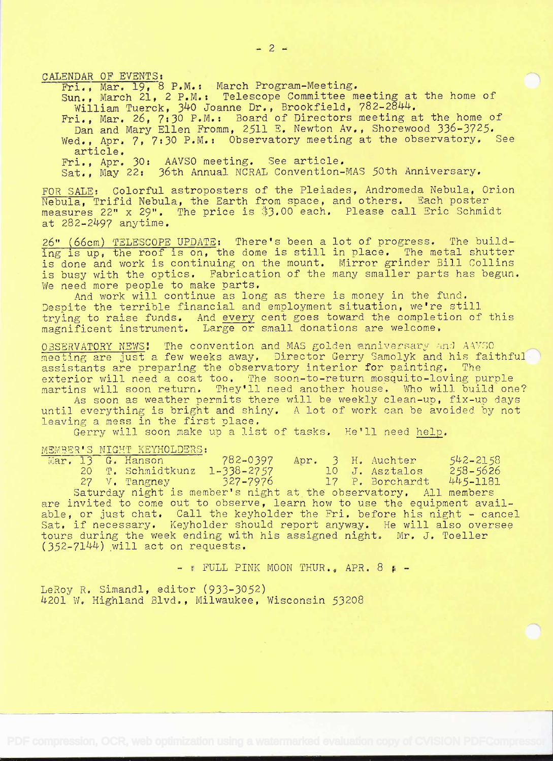CALENDAR OF EVENTS:

Fri., Mar. 19, 8 P.M.: March Program-Meeting.

Sun., March 21, 2 P.M.t Telescope Committee meeting at the home of William Tuerck, 340 Joanne Dr., Brookfield, 782-2844.

- Fri., Mar. 26, 7:30 P.M.: Board of Directors meeting at the home of Dan and Mary Ellen Fromm, 2511 E. Newton Av., Shorewood 336-3725. Wed., Apr. 7, 7:30 P.M.: Observatory meeting at the observatory. See article.
- Fri., Apr. 30: AAVSO meeting. See article.
- Sat., May 22: 36th Annual NCRAL Convention-MAS 50th Anniversary.

FOR SALE: Colorful astroposters of the Plelades, Andromeda Nebula, Orion Nebula, Trifid Nebula, the Earth from space, and others. Each poster measures 22" x 29". The price is \$3.00 each. Please call Eric Schmidt at 282-2497 anytime.

26" (66cm) r2LESCOPE UPDATE: There's been a lot of progress. The building is up, the roof is on, the dome is still in place. The metal shutter is done and work is continuing on the mount. Mirror grinder Bill Collins is busy with the optics. Fabrication of the many smaller parts has begun. We need more people to make parts.

And work will continue as long as there is money in the fund. Despite the terrible financial and employment situation, we're still trying to raise funds. And every cent goes toward the completion of this magnificent instrument. Large or small donations are welcome.

OBSERVATORY NEWS! The convention and MAS golden anniversary and AAVSO meeting are just a few weeks away. Director Gerry Samolyk and his faithful<br>assistants are preparing the observatory interior for painting. The assistants are preparing the observatory interior for painting. exterior will need a coat too. The soon-to-return mosquito-loving purple martins will soon return. They'll need another house. Who will build one?

As soon as weather permits there will be weekly clean-up, fix-up days until everything is bright and shiny. A lot of work can be avoided by not leaving a mess in the first place.

Gerry will soon make up a list of tasks. He'll need help.

## MEMBER'S NIGHT KEYHOLDERS:

|  | Mar. 13 G. Hanson | 782-0397 Apr. 3 H. Auchter |  |                          | $542 - 2158$ |
|--|-------------------|----------------------------|--|--------------------------|--------------|
|  | 20 T. Schmidtkunz | $1 - 338 - 2757$           |  | 10 J. Asztalos           | $258 - 5626$ |
|  | 27 V. Tangney     | $327 - 7976$               |  | 17 P. Borchardt 445-1181 |              |

Saturday night is member's night at the observatory. All members are invited to come out to observe, learn how to use the equipment available, or just chat. Call the keyholder the Fri. before his night - cancel Sat. if necessary. Keyholder should report anyway. He will also oversee tours during the week ending with his assigned night. Mr. J. Toeller  $(352-7144)$  will act on requests.

 $-$  : FULL PINK MOON THUR.. APR. 8 :  $-$ 

LeRoy R. Simandl, editor (933-3052) 4201 W. Highland Blvd., Milwaukee, Wisconsin 53208